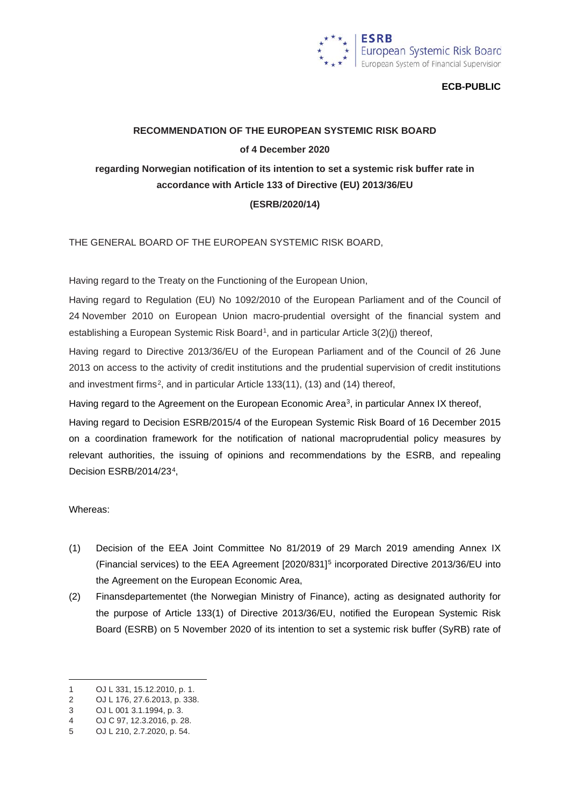

### **ECB-PUBLIC**

# **RECOMMENDATION OF THE EUROPEAN SYSTEMIC RISK BOARD of 4 December 2020 regarding Norwegian notification of its intention to set a systemic risk buffer rate in accordance with Article 133 of Directive (EU) 2013/36/EU (ESRB/2020/14)**

THE GENERAL BOARD OF THE EUROPEAN SYSTEMIC RISK BOARD,

Having regard to the Treaty on the Functioning of the European Union,

Having regard to Regulation (EU) No 1092/2010 of the European Parliament and of the Council of 24 November 2010 on European Union macro-prudential oversight of the financial system and establishing a European Systemic Risk Board<sup>1</sup>, and in particular Article  $3(2)(i)$  thereof,

Having regard to Directive 2013/36/EU of the European Parliament and of the Council of 26 June 2013 on access to the activity of credit institutions and the prudential supervision of credit institutions and investment firms<sup>[2](#page-0-1)</sup>, and in particular Article 133(11), (13) and (14) thereof,

Having regard to the Agreement on the European Economic Area<sup>3</sup>, in particular Annex IX thereof,

Having regard to Decision ESRB/2015/4 of the European Systemic Risk Board of 16 December 2015 on a coordination framework for the notification of national macroprudential policy measures by relevant authorities, the issuing of opinions and recommendations by the ESRB, and repealing Decision ESRB/2014/23[4](#page-0-3),

#### Whereas:

- (1) Decision of the EEA Joint Committee No 81/2019 of 29 March 2019 amending Annex IX (Financial services) to the EEA Agreement [2020/831][5](#page-0-4) incorporated Directive 2013/36/EU into the Agreement on the European Economic Area,
- (2) Finansdepartementet (the Norwegian Ministry of Finance), acting as designated authority for the purpose of Article 133(1) of Directive 2013/36/EU, notified the European Systemic Risk Board (ESRB) on 5 November 2020 of its intention to set a systemic risk buffer (SyRB) rate of

<span id="page-0-0"></span><sup>1</sup> OJ L 331, 15.12.2010, p. 1.

<span id="page-0-1"></span><sup>2</sup> OJ L 176, 27.6.2013, p. 338.

<span id="page-0-2"></span><sup>3</sup> OJ L 001 3.1.1994, p. 3.

<span id="page-0-3"></span><sup>4</sup> OJ C 97, 12.3.2016, p. 28.

<span id="page-0-4"></span><sup>5</sup> OJ L 210, 2.7.2020, p. 54.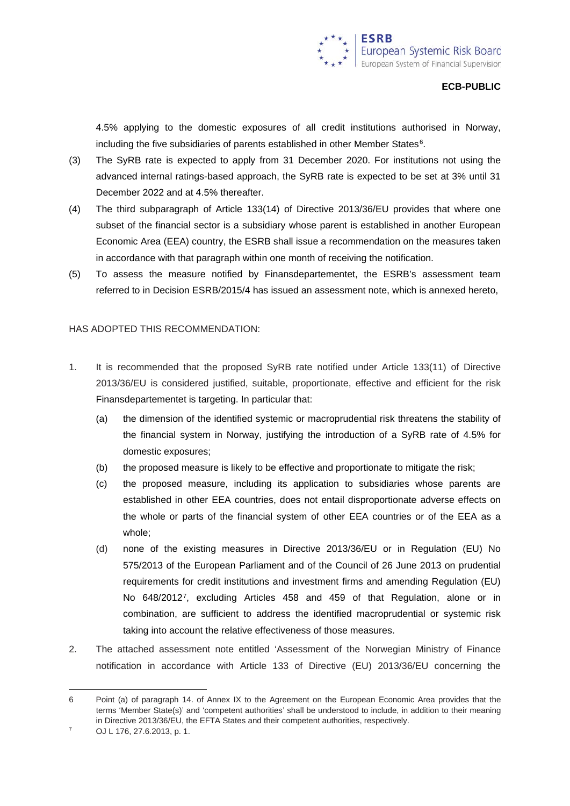### **ECB-PUBLIC**

4.5% applying to the domestic exposures of all credit institutions authorised in Norway, including the five subsidiaries of parents established in other Member States<sup>6</sup>.

- (3) The SyRB rate is expected to apply from 31 December 2020. For institutions not using the advanced internal ratings-based approach, the SyRB rate is expected to be set at 3% until 31 December 2022 and at 4.5% thereafter.
- (4) The third subparagraph of Article 133(14) of Directive 2013/36/EU provides that where one subset of the financial sector is a subsidiary whose parent is established in another European Economic Area (EEA) country, the ESRB shall issue a recommendation on the measures taken in accordance with that paragraph within one month of receiving the notification.
- (5) To assess the measure notified by Finansdepartementet, the ESRB's assessment team referred to in Decision ESRB/2015/4 has issued an assessment note, which is annexed hereto,

## HAS ADOPTED THIS RECOMMENDATION:

- 1. It is recommended that the proposed SyRB rate notified under Article 133(11) of Directive 2013/36/EU is considered justified, suitable, proportionate, effective and efficient for the risk Finansdepartementet is targeting. In particular that:
	- (a) the dimension of the identified systemic or macroprudential risk threatens the stability of the financial system in Norway, justifying the introduction of a SyRB rate of 4.5% for domestic exposures;
	- (b) the proposed measure is likely to be effective and proportionate to mitigate the risk;
	- (c) the proposed measure, including its application to subsidiaries whose parents are established in other EEA countries, does not entail disproportionate adverse effects on the whole or parts of the financial system of other EEA countries or of the EEA as a whole;
	- (d) none of the existing measures in Directive 2013/36/EU or in Regulation (EU) No 575/2013 of the European Parliament and of the Council of 26 June 2013 on prudential requirements for credit institutions and investment firms and amending Regulation (EU) No 648/2012[7,](#page-1-1) excluding Articles 458 and 459 of that Regulation, alone or in combination, are sufficient to address the identified macroprudential or systemic risk taking into account the relative effectiveness of those measures.
- 2. The attached assessment note entitled 'Assessment of the Norwegian Ministry of Finance notification in accordance with Article 133 of Directive (EU) 2013/36/EU concerning the

<span id="page-1-0"></span><sup>6</sup> Point (a) of paragraph 14. of Annex IX to the Agreement on the European Economic Area provides that the terms 'Member State(s)' and 'competent authorities' shall be understood to include, in addition to their meaning in Directive 2013/36/EU, the EFTA States and their competent authorities, respectively.

<span id="page-1-1"></span><sup>7</sup> OJ L 176, 27.6.2013, p. 1.